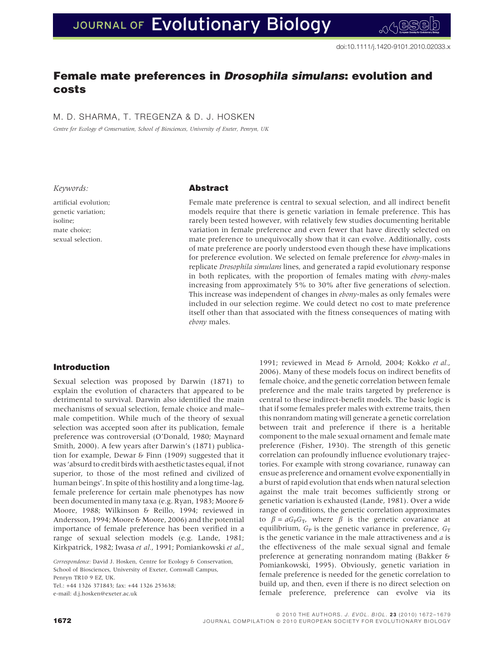# Female mate preferences in Drosophila simulans: evolution and costs

# M. D. SHARMA, T. TREGENZA & D. J. HOSKEN

Centre for Ecology & Conservation, School of Biosciences, University of Exeter, Penryn, UK

#### Keywords:

artificial evolution; genetic variation; isoline; mate choice; sexual selection.

# Abstract

Female mate preference is central to sexual selection, and all indirect benefit models require that there is genetic variation in female preference. This has rarely been tested however, with relatively few studies documenting heritable variation in female preference and even fewer that have directly selected on mate preference to unequivocally show that it can evolve. Additionally, costs of mate preference are poorly understood even though these have implications for preference evolution. We selected on female preference for ebony-males in replicate Drosophila simulans lines, and generated a rapid evolutionary response in both replicates, with the proportion of females mating with ebony-males increasing from approximately 5% to 30% after five generations of selection. This increase was independent of changes in ebony-males as only females were included in our selection regime. We could detect no cost to mate preference itself other than that associated with the fitness consequences of mating with ebony males.

# Introduction

Sexual selection was proposed by Darwin (1871) to explain the evolution of characters that appeared to be detrimental to survival. Darwin also identified the main mechanisms of sexual selection, female choice and male– male competition. While much of the theory of sexual selection was accepted soon after its publication, female preference was controversial (O'Donald, 1980; Maynard Smith, 2000). A few years after Darwin's (1871) publication for example, Dewar & Finn (1909) suggested that it was 'absurd to credit birds with aesthetic tastes equal, if not superior, to those of the most refined and civilized of human beings'. In spite of this hostility and a long time-lag, female preference for certain male phenotypes has now been documented in many taxa (e.g. Ryan, 1983; Moore & Moore, 1988; Wilkinson & Reillo, 1994; reviewed in Andersson, 1994; Moore & Moore, 2006) and the potential importance of female preference has been verified in a range of sexual selection models (e.g. Lande, 1981; Kirkpatrick, 1982; Iwasa et al., 1991; Pomiankowski et al.,

Correspondence: David J. Hosken, Centre for Ecology & Conservation, School of Biosciences, University of Exeter, Cornwall Campus, Penryn TR10 9 EZ, UK.  $Tel + 44 1326 371843; far +44 1326 253638;$ e-mail: d.j.hosken@exeter.ac.uk

1991; reviewed in Mead & Arnold, 2004; Kokko et al., 2006). Many of these models focus on indirect benefits of female choice, and the genetic correlation between female preference and the male traits targeted by preference is central to these indirect-benefit models. The basic logic is that if some females prefer males with extreme traits, then this nonrandom mating will generate a genetic correlation between trait and preference if there is a heritable component to the male sexual ornament and female mate preference (Fisher, 1930). The strength of this genetic correlation can profoundly influence evolutionary trajectories. For example with strong covariance, runaway can ensue as preference and ornament evolve exponentially in a burst of rapid evolution that ends when natural selection against the male trait becomes sufficiently strong or genetic variation is exhausted (Lande, 1981). Over a wide range of conditions, the genetic correlation approximates to  $\beta = aG_P G_T$ , where  $\beta$  is the genetic covariance at equilibrium,  $G<sub>P</sub>$  is the genetic variance in preference,  $G<sub>T</sub>$ is the genetic variance in the male attractiveness and  $a$  is the effectiveness of the male sexual signal and female preference at generating nonrandom mating (Bakker & Pomiankowski, 1995). Obviously, genetic variation in female preference is needed for the genetic correlation to build up, and then, even if there is no direct selection on female preference, preference can evolve via its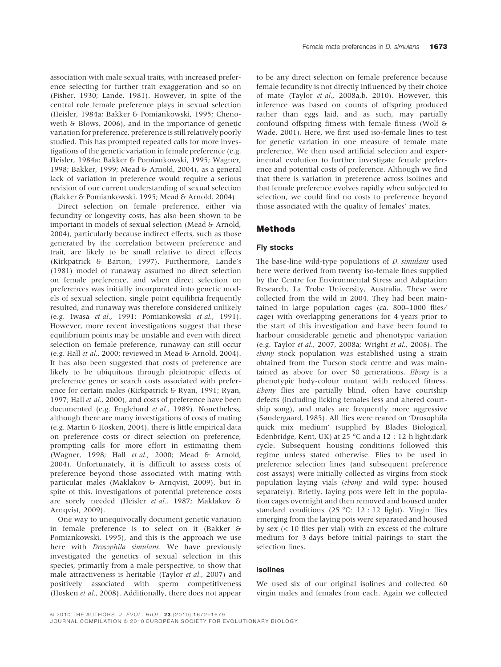association with male sexual traits, with increased preference selecting for further trait exaggeration and so on (Fisher, 1930; Lande, 1981). However, in spite of the central role female preference plays in sexual selection (Heisler, 1984a; Bakker & Pomiankowski, 1995; Chenoweth & Blows, 2006), and in the importance of genetic variation for preference, preference is still relatively poorly studied. This has prompted repeated calls for more investigations of the genetic variation in female preference (e.g. Heisler, 1984a; Bakker & Pomiankowski, 1995; Wagner, 1998; Bakker, 1999; Mead & Arnold, 2004), as a general lack of variation in preference would require a serious revision of our current understanding of sexual selection (Bakker & Pomiankowski, 1995; Mead & Arnold, 2004).

Direct selection on female preference, either via fecundity or longevity costs, has also been shown to be important in models of sexual selection (Mead & Arnold, 2004), particularly because indirect effects, such as those generated by the correlation between preference and trait, are likely to be small relative to direct effects (Kirkpatrick & Barton, 1997). Furthermore, Lande's (1981) model of runaway assumed no direct selection on female preference, and when direct selection on preferences was initially incorporated into genetic models of sexual selection, single point equilibria frequently resulted, and runaway was therefore considered unlikely (e.g. Iwasa et al., 1991; Pomiankowski et al., 1991). However, more recent investigations suggest that these equilibrium points may be unstable and even with direct selection on female preference, runaway can still occur (e.g. Hall et al., 2000; reviewed in Mead & Arnold, 2004). It has also been suggested that costs of preference are likely to be ubiquitous through pleiotropic effects of preference genes or search costs associated with preference for certain males (Kirkpatrick & Ryan, 1991; Ryan, 1997; Hall et al., 2000), and costs of preference have been documented (e.g. Englehard et al., 1989). Nonetheless, although there are many investigations of costs of mating (e.g. Martin & Hosken, 2004), there is little empirical data on preference costs or direct selection on preference, prompting calls for more effort in estimating them (Wagner, 1998; Hall et al., 2000; Mead & Arnold, 2004). Unfortunately, it is difficult to assess costs of preference beyond those associated with mating with particular males (Maklakov & Arnqvist, 2009), but in spite of this, investigations of potential preference costs are sorely needed (Heisler et al., 1987; Maklakov & Arnqvist, 2009).

One way to unequivocally document genetic variation in female preference is to select on it (Bakker & Pomiankowski, 1995), and this is the approach we use here with Drosophila simulans. We have previously investigated the genetics of sexual selection in this species, primarily from a male perspective, to show that male attractiveness is heritable (Taylor et al., 2007) and positively associated with sperm competitiveness (Hosken et al., 2008). Additionally, there does not appear

to be any direct selection on female preference because female fecundity is not directly influenced by their choice of mate (Taylor et al., 2008a,b, 2010). However, this inference was based on counts of offspring produced rather than eggs laid, and as such, may partially confound offspring fitness with female fitness (Wolf & Wade, 2001). Here, we first used iso-female lines to test for genetic variation in one measure of female mate preference. We then used artificial selection and experimental evolution to further investigate female preference and potential costs of preference. Although we find that there is variation in preference across isolines and that female preference evolves rapidly when subjected to selection, we could find no costs to preference beyond those associated with the quality of females' mates.

#### Methods

#### Fly stocks

The base-line wild-type populations of *D. simulans* used here were derived from twenty iso-female lines supplied by the Centre for Environmental Stress and Adaptation Research, La Trobe University, Australia. These were collected from the wild in 2004. They had been maintained in large population cages (ca. 800–1000 flies⁄ cage) with overlapping generations for 4 years prior to the start of this investigation and have been found to harbour considerable genetic and phenotypic variation (e.g. Taylor et al., 2007, 2008a; Wright et al., 2008). The ebony stock population was established using a strain obtained from the Tucson stock centre and was maintained as above for over 50 generations. Ebony is a phenotypic body-colour mutant with reduced fitness. Ebony flies are partially blind, often have courtship defects (including licking females less and altered courtship song), and males are frequently more aggressive (Søndergaard, 1985). All flies were reared on 'Drosophila quick mix medium' (supplied by Blades Biological, Edenbridge, Kent, UK) at 25  $^{\circ}$ C and a 12 : 12 h light:dark cycle. Subsequent housing conditions followed this regime unless stated otherwise. Flies to be used in preference selection lines (and subsequent preference cost assays) were initially collected as virgins from stock population laying vials (ebony and wild type: housed separately). Briefly, laying pots were left in the population cages overnight and then removed and housed under standard conditions (25 °C: 12 : 12 light). Virgin flies emerging from the laying pots were separated and housed by sex (< 10 flies per vial) with an excess of the culture medium for 3 days before initial pairings to start the selection lines.

#### Isolines

We used six of our original isolines and collected 60 virgin males and females from each. Again we collected

ª 2010 THE AUTHORS. J. EVOL. BIOL. 2 3 (2010) 1672–1679

JOURNAL COMPILATION © 2010 EUROPEAN SOCIETY FOR EVOLUTIONARY BIOLOGY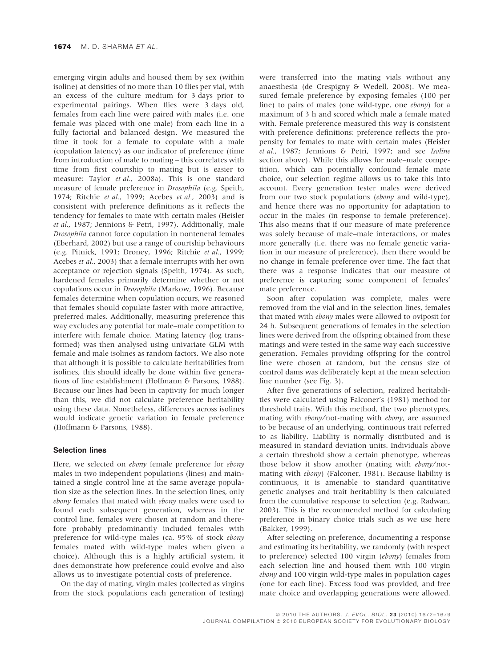emerging virgin adults and housed them by sex (within isoline) at densities of no more than 10 flies per vial, with an excess of the culture medium for 3 days prior to experimental pairings. When flies were 3 days old, females from each line were paired with males (i.e. one female was placed with one male) from each line in a fully factorial and balanced design. We measured the time it took for a female to copulate with a male (copulation latency) as our indicator of preference (time from introduction of male to mating – this correlates with time from first courtship to mating but is easier to measure: Taylor et al., 2008a). This is one standard measure of female preference in Drosophila (e.g. Speith, 1974; Ritchie et al., 1999; Acebes et al., 2003) and is consistent with preference definitions as it reflects the tendency for females to mate with certain males (Heisler et al., 1987; Jennions & Petri, 1997). Additionally, male Drosophila cannot force copulation in nonteneral females (Eberhard, 2002) but use a range of courtship behaviours (e.g. Pitnick, 1991; Droney, 1996; Ritchie et al., 1999; Acebes et al., 2003) that a female interrupts with her own acceptance or rejection signals (Speith, 1974). As such, hardened females primarily determine whether or not copulations occur in Drosophila (Markow, 1996). Because females determine when copulation occurs, we reasoned that females should copulate faster with more attractive, preferred males. Additionally, measuring preference this way excludes any potential for male–male competition to interfere with female choice. Mating latency (log transformed) was then analysed using univariate GLM with female and male isolines as random factors. We also note that although it is possible to calculate heritabilities from isolines, this should ideally be done within five generations of line establishment (Hoffmann & Parsons, 1988). Because our lines had been in captivity for much longer than this, we did not calculate preference heritability using these data. Nonetheless, differences across isolines would indicate genetic variation in female preference (Hoffmann & Parsons, 1988).

### Selection lines

Here, we selected on ebony female preference for ebony males in two independent populations (lines) and maintained a single control line at the same average population size as the selection lines. In the selection lines, only ebony females that mated with ebony males were used to found each subsequent generation, whereas in the control line, females were chosen at random and therefore probably predominantly included females with preference for wild-type males (ca. 95% of stock ebony females mated with wild-type males when given a choice). Although this is a highly artificial system, it does demonstrate how preference could evolve and also allows us to investigate potential costs of preference.

On the day of mating, virgin males (collected as virgins from the stock populations each generation of testing)

were transferred into the mating vials without any anaesthesia (de Crespigny & Wedell, 2008). We measured female preference by exposing females (100 per line) to pairs of males (one wild-type, one ebony) for a maximum of 3 h and scored which male a female mated with. Female preference measured this way is consistent with preference definitions: preference reflects the propensity for females to mate with certain males (Heisler et al., 1987; Jennions & Petri, 1997; and see Isoline section above). While this allows for male–male competition, which can potentially confound female mate choice, our selection regime allows us to take this into account. Every generation tester males were derived from our two stock populations (ebony and wild-type), and hence there was no opportunity for adaptation to occur in the males (in response to female preference). This also means that if our measure of mate preference was solely because of male–male interactions, or males more generally (i.e. there was no female genetic variation in our measure of preference), then there would be no change in female preference over time. The fact that there was a response indicates that our measure of preference is capturing some component of females' mate preference.

Soon after copulation was complete, males were removed from the vial and in the selection lines, females that mated with ebony males were allowed to oviposit for 24 h. Subsequent generations of females in the selection lines were derived from the offspring obtained from these matings and were tested in the same way each successive generation. Females providing offspring for the control line were chosen at random, but the census size of control dams was deliberately kept at the mean selection line number (see Fig. 3).

After five generations of selection, realized heritabilities were calculated using Falconer's (1981) method for threshold traits. With this method, the two phenotypes, mating with *ebony/not-mating with ebony*, are assumed to be because of an underlying, continuous trait referred to as liability. Liability is normally distributed and is measured in standard deviation units. Individuals above a certain threshold show a certain phenotype, whereas those below it show another (mating with ebony/notmating with ebony) (Falconer, 1981). Because liability is continuous, it is amenable to standard quantitative genetic analyses and trait heritability is then calculated from the cumulative response to selection (e.g. Radwan, 2003). This is the recommended method for calculating preference in binary choice trials such as we use here (Bakker, 1999).

After selecting on preference, documenting a response and estimating its heritability, we randomly (with respect to preference) selected 100 virgin (ebony) females from each selection line and housed them with 100 virgin ebony and 100 virgin wild-type males in population cages (one for each line). Excess food was provided, and free mate choice and overlapping generations were allowed.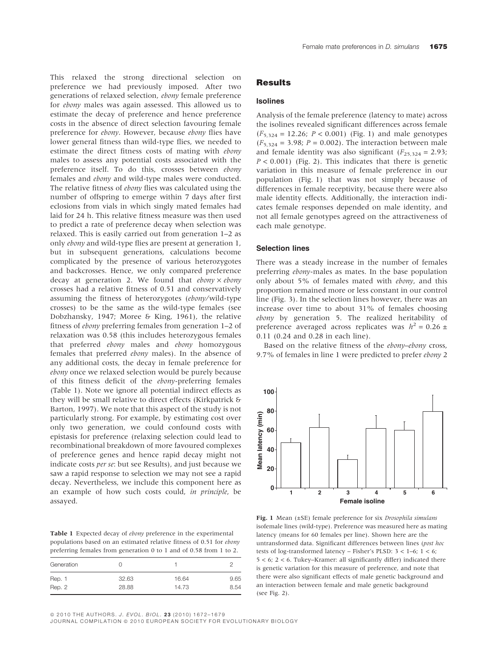This relaxed the strong directional selection on preference we had previously imposed. After two generations of relaxed selection, ebony female preference for ebony males was again assessed. This allowed us to estimate the decay of preference and hence preference costs in the absence of direct selection favouring female preference for ebony. However, because ebony flies have lower general fitness than wild-type flies, we needed to estimate the direct fitness costs of mating with ebony males to assess any potential costs associated with the preference itself. To do this, crosses between ebony females and ebony and wild-type males were conducted. The relative fitness of ebony flies was calculated using the number of offspring to emerge within 7 days after first eclosions from vials in which singly mated females had laid for 24 h. This relative fitness measure was then used to predict a rate of preference decay when selection was relaxed. This is easily carried out from generation 1–2 as only ebony and wild-type flies are present at generation 1, but in subsequent generations, calculations become complicated by the presence of various heterozygotes and backcrosses. Hence, we only compared preference decay at generation 2. We found that  $ebony \times ebony$ crosses had a relative fitness of 0.51 and conservatively assuming the fitness of heterozygotes (ebony/wild-type crosses) to be the same as the wild-type females (see Dobzhansky, 1947; Moree & King, 1961), the relative fitness of ebony preferring females from generation 1–2 of relaxation was 0.58 (this includes heterozygous females that preferred ebony males and ebony homozygous females that preferred ebony males). In the absence of any additional costs, the decay in female preference for ebony once we relaxed selection would be purely because of this fitness deficit of the ebony-preferring females (Table 1). Note we ignore all potential indirect effects as they will be small relative to direct effects (Kirkpatrick & Barton, 1997). We note that this aspect of the study is not particularly strong. For example, by estimating cost over only two generation, we could confound costs with epistasis for preference (relaxing selection could lead to recombinational breakdown of more favoured complexes of preference genes and hence rapid decay might not indicate costs per se: but see Results), and just because we saw a rapid response to selection we may not see a rapid decay. Nevertheless, we include this component here as an example of how such costs could, in principle, be assayed.

Table 1 Expected decay of *ebony* preference in the experimental populations based on an estimated relative fitness of 0.51 for ebony preferring females from generation 0 to 1 and of 0.58 from 1 to 2.

| Generation |       |       |      |
|------------|-------|-------|------|
| Rep. 1     | 32.63 | 16.64 | 9.65 |
| Rep. 2     | 28.88 | 14.73 | 8.54 |

# **Results**

# Isolines

Analysis of the female preference (latency to mate) across the isolines revealed significant differences across female  $(F_{5,324} = 12.26; P < 0.001)$  (Fig. 1) and male genotypes  $(F_{5,324} = 3.98; P = 0.002)$ . The interaction between male and female identity was also significant ( $F_{25,324} = 2.93$ ;  $P < 0.001$ ) (Fig. 2). This indicates that there is genetic variation in this measure of female preference in our population (Fig. 1) that was not simply because of differences in female receptivity, because there were also male identity effects. Additionally, the interaction indicates female responses depended on male identity, and not all female genotypes agreed on the attractiveness of each male genotype.

#### Selection lines

There was a steady increase in the number of females preferring ebony-males as mates. In the base population only about 5% of females mated with ebony, and this proportion remained more or less constant in our control line (Fig. 3). In the selection lines however, there was an increase over time to about 31% of females choosing ebony by generation 5. The realized heritability of preference averaged across replicates was  $h^2 = 0.26 \pm 1$ 0.11 (0.24 and 0.28 in each line).

Based on the relative fitness of the ebony–ebony cross, 9.7% of females in line 1 were predicted to prefer ebony 2



Fig. 1 Mean  $(\pm SE)$  female preference for six *Drosophila simulans* isofemale lines (wild-type). Preference was measured here as mating latency (means for 60 females per line). Shown here are the untransformed data. Significant differences between lines (post hoc tests of log-transformed latency – Fisher's PLSD: 3 < 1–6; 1 < 6; 5 < 6; 2 < 6. Tukey–Kramer: all significantly differ) indicated there is genetic variation for this measure of preference, and note that there were also significant effects of male genetic background and an interaction between female and male genetic background (see Fig. 2).

ª 2010 THE AUTHORS. J. EVOL. BIOL. 2 3 (2010) 1672–1679

JOURNAL COMPILATION ª 2010 EUROPEAN SOCIETY FOR EVOLUTIONARY BIOLOGY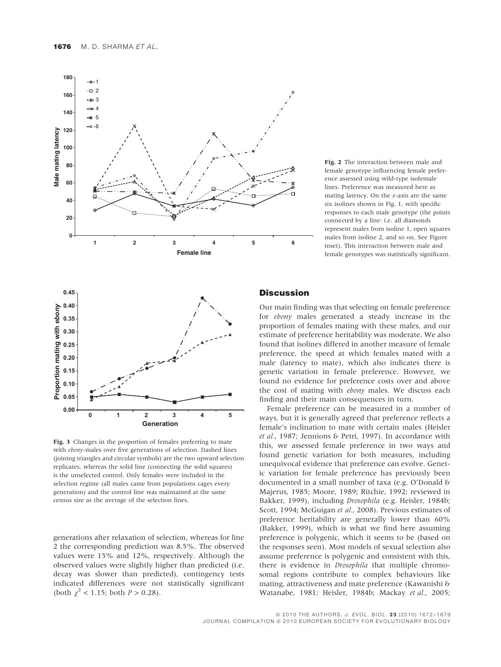

Fig. 2 The interaction between male and female genotype influencing female preference assessed using wild-type isofemale lines. Preference was measured here as mating latency. On the x-axis are the same six isolines shown in Fig. 1, with specific responses to each male genotype (the points connected by a line: i.e. all diamonds represent males from isoline 1, open squares males from isoline 2, and so on. See Figure inset). This interaction between male and female genotypes was statistically significant.

Fig. 3 Changes in the proportion of females preferring to mate with ebony-males over five generations of selection. Dashed lines (joining triangles and circular symbols) are the two upward selection replicates, whereas the solid line (connecting the solid squares) is the unselected control. Only females were included in the selection regime (all males came from populations cages every generation) and the control line was maintained at the same census size as the average of the selection lines.

**012345**

**Generation**

**0.00**

generations after relaxation of selection, whereas for line 2 the corresponding prediction was 8.5%. The observed values were 15% and 12%, respectively. Although the observed values were slightly higher than predicted (i.e. decay was slower than predicted), contingency tests indicated differences were not statistically significant (both  $\chi^2$  < 1.15; both *P* > 0.28).

# **Discussion**

Our main finding was that selecting on female preference for ebony males generated a steady increase in the proportion of females mating with these males, and our estimate of preference heritability was moderate. We also found that isolines differed in another measure of female preference, the speed at which females mated with a male (latency to mate), which also indicates there is genetic variation in female preference. However, we found no evidence for preference costs over and above the cost of mating with ebony males. We discuss each finding and their main consequences in turn.

Female preference can be measured in a number of ways, but it is generally agreed that preference reflects a female's inclination to mate with certain males (Heisler et al., 1987; Jennions & Petri, 1997). In accordance with this, we assessed female preference in two ways and found genetic variation for both measures, including unequivocal evidence that preference can evolve. Genetic variation for female preference has previously been documented in a small number of taxa (e.g. O'Donald & Majerus, 1985; Moore, 1989; Ritchie, 1992; reviewed in Bakker, 1999), including Drosophila (e.g. Heisler, 1984b; Scott, 1994; McGuigan et al., 2008). Previous estimates of preference heritability are generally lower than 60% (Bakker, 1999), which is what we find here assuming preference is polygenic, which it seems to be (based on the responses seen). Most models of sexual selection also assume preference is polygenic and consistent with this, there is evidence in *Drosophila* that multiple chromosomal regions contribute to complex behaviours like mating, attractiveness and mate preference (Kawanishi & Watanabe, 1981; Heisler, 1984b; Mackay et al., 2005;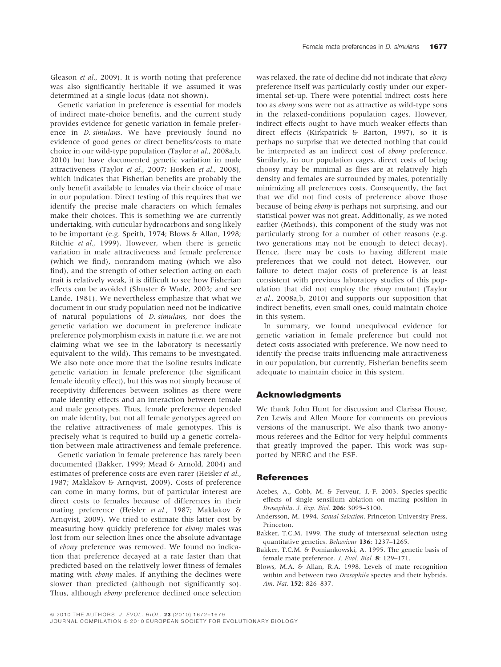Gleason et al., 2009). It is worth noting that preference was also significantly heritable if we assumed it was determined at a single locus (data not shown).

Genetic variation in preference is essential for models of indirect mate-choice benefits, and the current study provides evidence for genetic variation in female preference in D. simulans. We have previously found no evidence of good genes or direct benefits⁄ costs to mate choice in our wild-type population (Taylor et al., 2008a,b, 2010) but have documented genetic variation in male attractiveness (Taylor et al., 2007; Hosken et al., 2008), which indicates that Fisherian benefits are probably the only benefit available to females via their choice of mate in our population. Direct testing of this requires that we identify the precise male characters on which females make their choices. This is something we are currently undertaking, with cuticular hydrocarbons and song likely to be important (e.g. Speith, 1974; Blows & Allan, 1998; Ritchie et al., 1999). However, when there is genetic variation in male attractiveness and female preference (which we find), nonrandom mating (which we also find), and the strength of other selection acting on each trait is relatively weak, it is difficult to see how Fisherian effects can be avoided (Shuster & Wade, 2003; and see Lande, 1981). We nevertheless emphasize that what we document in our study population need not be indicative of natural populations of D. simulans, nor does the genetic variation we document in preference indicate preference polymorphism exists in nature (i.e. we are not claiming what we see in the laboratory is necessarily equivalent to the wild). This remains to be investigated. We also note once more that the isoline results indicate genetic variation in female preference (the significant female identity effect), but this was not simply because of receptivity differences between isolines as there were male identity effects and an interaction between female and male genotypes. Thus, female preference depended on male identity, but not all female genotypes agreed on the relative attractiveness of male genotypes. This is precisely what is required to build up a genetic correlation between male attractiveness and female preference.

Genetic variation in female preference has rarely been documented (Bakker, 1999; Mead & Arnold, 2004) and estimates of preference costs are even rarer (Heisler et al., 1987; Maklakov & Arnqvist, 2009). Costs of preference can come in many forms, but of particular interest are direct costs to females because of differences in their mating preference (Heisler et al., 1987; Maklakov & Arnqvist, 2009). We tried to estimate this latter cost by measuring how quickly preference for ebony males was lost from our selection lines once the absolute advantage of ebony preference was removed. We found no indication that preference decayed at a rate faster than that predicted based on the relatively lower fitness of females mating with ebony males. If anything the declines were slower than predicted (although not significantly so). Thus, although ebony preference declined once selection

was relaxed, the rate of decline did not indicate that ebony preference itself was particularly costly under our experimental set-up. There were potential indirect costs here too as ebony sons were not as attractive as wild-type sons in the relaxed-conditions population cages. However, indirect effects ought to have much weaker effects than direct effects (Kirkpatrick & Barton, 1997), so it is perhaps no surprise that we detected nothing that could be interpreted as an indirect cost of *ebony* preference. Similarly, in our population cages, direct costs of being choosy may be minimal as flies are at relatively high density and females are surrounded by males, potentially minimizing all preferences costs. Consequently, the fact that we did not find costs of preference above those because of being ebony is perhaps not surprising, and our statistical power was not great. Additionally, as we noted earlier (Methods), this component of the study was not particularly strong for a number of other reasons (e.g. two generations may not be enough to detect decay). Hence, there may be costs to having different mate preferences that we could not detect. However, our failure to detect major costs of preference is at least consistent with previous laboratory studies of this population that did not employ the ebony mutant (Taylor et al., 2008a,b, 2010) and supports our supposition that indirect benefits, even small ones, could maintain choice in this system.

In summary, we found unequivocal evidence for genetic variation in female preference but could not detect costs associated with preference. We now need to identify the precise traits influencing male attractiveness in our population, but currently, Fisherian benefits seem adequate to maintain choice in this system.

#### Acknowledgments

We thank John Hunt for discussion and Clarissa House, Zen Lewis and Allen Moore for comments on previous versions of the manuscript. We also thank two anonymous referees and the Editor for very helpful comments that greatly improved the paper. This work was supported by NERC and the ESF.

#### References

- Acebes, A., Cobb, M. & Ferveur, J.-F. 2003. Species-specific effects of single sensillum ablation on mating position in Drosophila. J. Exp. Biol. 206: 3095–3100.
- Andersson, M. 1994. Sexual Selection. Princeton University Press, Princeton.
- Bakker, T.C.M. 1999. The study of intersexual selection using quantitative genetics. Behaviour 136: 1237–1265.
- Bakker, T.C.M. & Pomiankowski, A. 1995. The genetic basis of female mate preference. J. Evol. Biol. 8: 129–171.
- Blows, M.A. & Allan, R.A. 1998. Levels of mate recognition within and between two Drosophila species and their hybrids. Am. Nat. 152: 826–837.

ª 2010 THE AUTHORS. J. EVOL. BIOL. 2 3 (2010) 1672–1679

JOURNAL COMPILATION © 2010 EUROPEAN SOCIETY FOR EVOLUTIONARY BIOLOGY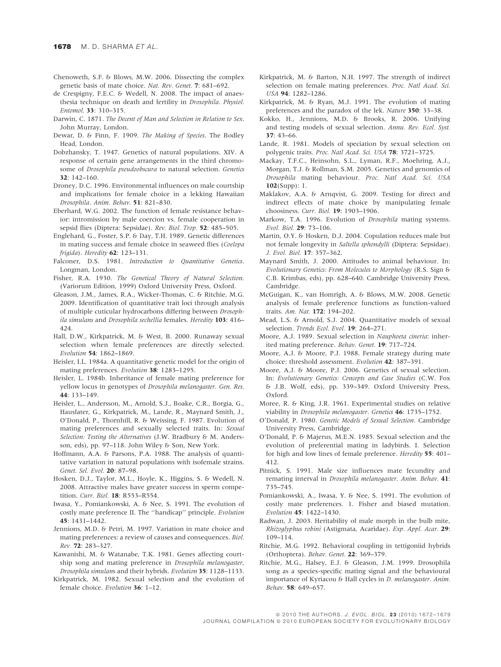- Chenoweth, S.F. & Blows, M.W. 2006. Dissecting the complex genetic basis of mate choice. Nat. Rev. Genet. 7: 681–692.
- de Crespigny, F.E.C. & Wedell, N. 2008. The impact of anaesthesia technique on death and fertility in Drosophila. Physiol. Entomol. 33: 310–315.
- Darwin, C. 1871. The Decent of Man and Selection in Relation to Sex. John Murray, London.
- Dewar, D. & Finn, F. 1909. The Making of Species. The Bodley Head, London.
- Dobzhansky, T. 1947. Genetics of natural populations. XIV. A response of certain gene arrangements in the third chromosome of Drosophila pseudoobscura to natural selection. Genetics 32: 142–160.
- Droney, D.C. 1996. Environmental influences on male courtship and implications for female choice in a lekking Hawaiian Drosophila. Anim. Behav. 51: 821–830.
- Eberhard, W.G. 2002. The function of female resistance behavior: intromission by male coercion vs. female cooperation in sepsid flies (Diptera: Sepsidae). Rev. Biol. Trop. 52: 485–505.
- Englehard, G., Foster, S.P. & Day, T.H. 1989. Genetic differences in mating success and female choice in seaweed flies (Coelopa frigida). Heredity **62**: 123-131.
- Falconer, D.S. 1981. Introduction to Quantitative Genetics. Longman, London.
- Fisher, R.A. 1930. The Genetical Theory of Natural Selection. (Variorum Edition, 1999) Oxford University Press, Oxford.
- Gleason, J.M., James, R.A., Wicker-Thomas, C. & Ritchie, M.G. 2009. Identification of quantitative trait loci through analysis of multiple cuticular hydrocarbons differing between Drosophila simulans and Drosophila sechellia females. Heredity 103: 416-424.
- Hall, D.W., Kirkpatrick, M. & West, B. 2000. Runaway sexual selection when female preferences are directly selected. Evolution 54: 1862–1869.
- Heisler, I.L. 1984a. A quantitative genetic model for the origin of mating preferences. Evolution 38: 1283–1295.
- Heisler, L. 1984b. Inheritance of female mating preference for yellow locus in genotypes of Drosophila melanogaster. Gen. Res. 44: 133–149.
- Heisler, L., Andersson, M., Arnold, S.J., Boake, C.R., Borgia, G., Hausfater, G., Kirkpatrick, M., Lande, R., Maynard Smith, J., O'Donald, P., Thornhill, R. & Weissing, F. 1987. Evolution of mating preferences and sexually selected traits. In: Sexual Selection: Testing the Alternatives (J.W. Bradbury & M. Andersson, eds), pp. 97–118. John Wiley & Son, New York.
- Hoffmann, A.A. & Parsons, P.A. 1988. The analysis of quantitative variation in natural populations with isofemale strains. Genet. Sel. Evol. 20: 87–98.
- Hosken, D.J., Taylor, M.L., Hoyle, K., Higgins, S. & Wedell, N. 2008. Attractive males have greater success in sperm competition. Curr. Biol. 18: R553–R554.
- Iwasa, Y., Pomiankowski, A. & Nee, S. 1991. The evolution of costly mate preference II. The ''handicap'' principle. Evolution 45: 1431–1442.
- Jennions, M.D. & Petri, M. 1997. Variation in mate choice and mating preferences: a review of causes and consequences. Biol. Rev. 72: 283–327.
- Kawanishi, M. & Watanabe, T.K. 1981. Genes affecting courtship song and mating preference in Drosophila melanogaster, Drosophila simulans and their hybrids. Evolution 35: 1128–1133.
- Kirkpatrick, M. 1982. Sexual selection and the evolution of female choice. Evolution 36: 1–12.
- Kirkpatrick, M. & Barton, N.H. 1997. The strength of indirect selection on female mating preferences. Proc. Natl Acad. Sci. USA 94: 1282–1286.
- Kirkpatrick, M. & Ryan, M.J. 1991. The evolution of mating preferences and the paradox of the lek. Nature 350: 33–38.
- Kokko, H., Jennions, M.D. & Brooks, R. 2006. Unifying and testing models of sexual selection. Annu. Rev. Ecol. Syst.  $37:43-66$ .
- Lande, R. 1981. Models of speciation by sexual selection on polygenic traits. Proc. Natl Acad. Sci. USA 78: 3721–3725.
- Mackay, T.F.C., Heinsohn, S.L., Lyman, R.F., Moehring, A.J., Morgan, T.J. & Rollman, S.M. 2005. Genetics and genomics of Drosophila mating behaviour. Proc. Natl Acad. Sci. USA 102(Supp): 1.
- Maklakov, A.A. & Arnqvist, G. 2009. Testing for direct and indirect effects of mate choice by manipulating female choosiness. Curr. Biol. 19: 1903–1906.
- Markow, T.A. 1996. Evolution of Drosophila mating systems. Evol. Biol. 29: 73–106.
- Martin, O.Y. & Hosken, D.J. 2004. Copulation reduces male but not female longevity in Saltella sphondylli (Diptera: Sepsidae). J. Evol. Biol. 17: 357–362.
- Maynard Smith, J. 2000. Attitudes to animal behaviour. In: Evolutionary Genetics: From Molecules to Morphology (R.S. Sign & C.B. Krimbas, eds), pp. 628–640. Cambridge University Press, Cambridge.
- McGuigan, K., van Homrigh, A. & Blows, M.W. 2008. Genetic analysis of female preference functions as function-valued traits. Am. Nat. 172: 194–202.
- Mead, L.S. & Arnold, S.J. 2004. Quantitative models of sexual selection. Trends Ecol. Evol. 19: 264-271.
- Moore, A.J. 1989. Sexual selection in Nauphoeta cineria: inherited mating preference. Behav. Genet. 19: 717–724.
- Moore, A.J. & Moore, P.J. 1988. Female strategy during mate choice: threshold assessment. Evolution 42: 387–391.
- Moore, A.J. & Moore, P.J. 2006. Genetics of sexual selection. In: Evolutionary Genetics: Concepts and Case Studies (C.W. Fox & J.B. Wolf, eds), pp. 339–349. Oxford University Press, Oxford.
- Moree, R. & King, J.R. 1961. Experimental studies on relative viability in Drosophila melanogaster. Genetics 46: 1735–1752.
- O'Donald, P. 1980. Genetic Models of Sexual Selection. Cambridge University Press, Cambridge.
- O'Donald, P. & Majerus, M.E.N. 1985. Sexual selection and the evolution of preferential mating in ladybirds. I. Selection for high and low lines of female preference. Heredity 55: 401– 412.
- Pitnick, S. 1991. Male size influences mate fecundity and remating interval in Drosophila melanogaster. Anim. Behav. 41: 735–745.
- Pomiankowski, A., Iwasa, Y. & Nee, S. 1991. The evolution of costly mate preferences. 1. Fisher and biased mutation. Evolution 45: 1422–1430.
- Radwan, J. 2003. Heritability of male morph in the bulb mite, Rhizoglyphus robini (Astigmata, Acaridae). Exp. Appl. Acar. 29: 109–114.
- Ritchie, M.G. 1992. Behavioral coupling in tettigoniid hybrids (Orthoptera). Behav. Genet. 22: 369–379.
- Ritchie, M.G., Halsey, E.J. & Gleason, J.M. 1999. Drosophila song as a species-specific mating signal and the behavioural importance of Kyriacou & Hall cycles in *D. melanogaster. Anim.* Behav. 58: 649–657.